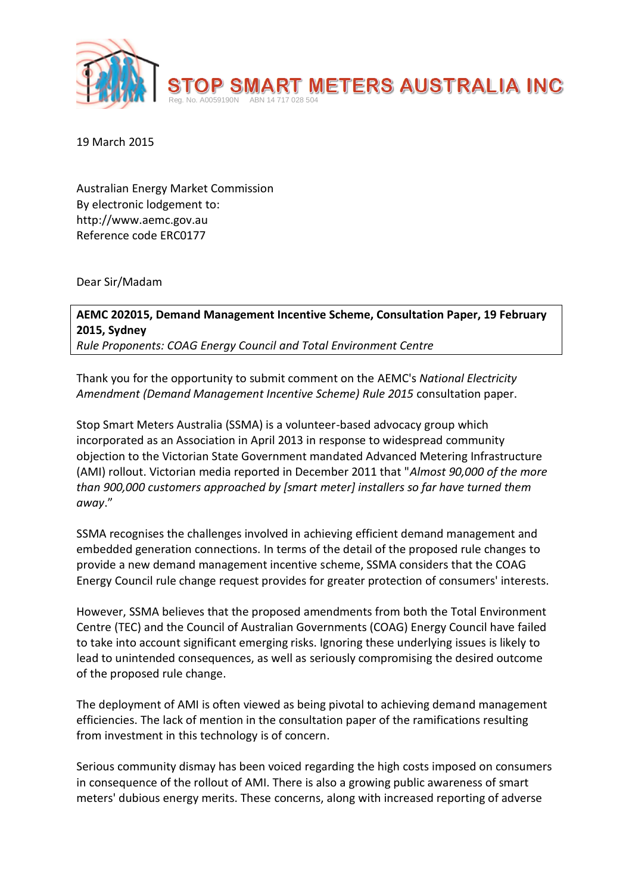

19 March 2015

Australian Energy Market Commission By electronic lodgement to: [http://www.aemc.gov.au](http://www.aemc.gov.au/) Reference code ERC0177

Dear Sir/Madam

**AEMC 202015, Demand Management Incentive Scheme, Consultation Paper, 19 February 2015, Sydney** 

*Rule Proponents: COAG Energy Council and Total Environment Centre*

Thank you for the opportunity to submit comment on the AEMC's *National Electricity Amendment (Demand Management Incentive Scheme) Rule 2015* consultation paper.

Stop Smart Meters Australia (SSMA) is a volunteer-based advocacy group which incorporated as an Association in April 2013 in response to widespread community objection to the Victorian State Government mandated Advanced Metering Infrastructure (AMI) rollout. Victorian media reported in December 2011 that "*Almost 90,000 of the more than 900,000 customers approached by [smart meter] installers so far have turned them away*."

SSMA recognises the challenges involved in achieving efficient demand management and embedded generation connections. In terms of the detail of the proposed rule changes to provide a new demand management incentive scheme, SSMA considers that the COAG Energy Council rule change request provides for greater protection of consumers' interests.

However, SSMA believes that the proposed amendments from both the Total Environment Centre (TEC) and the Council of Australian Governments (COAG) Energy Council have failed to take into account significant emerging risks. Ignoring these underlying issues is likely to lead to unintended consequences, as well as seriously compromising the desired outcome of the proposed rule change.

The deployment of AMI is often viewed as being pivotal to achieving demand management efficiencies. The lack of mention in the consultation paper of the ramifications resulting from investment in this technology is of concern.

Serious community dismay has been voiced regarding the high costs imposed on consumers in consequence of the rollout of AMI. There is also a growing public awareness of smart meters' dubious energy merits. These concerns, along with increased reporting of adverse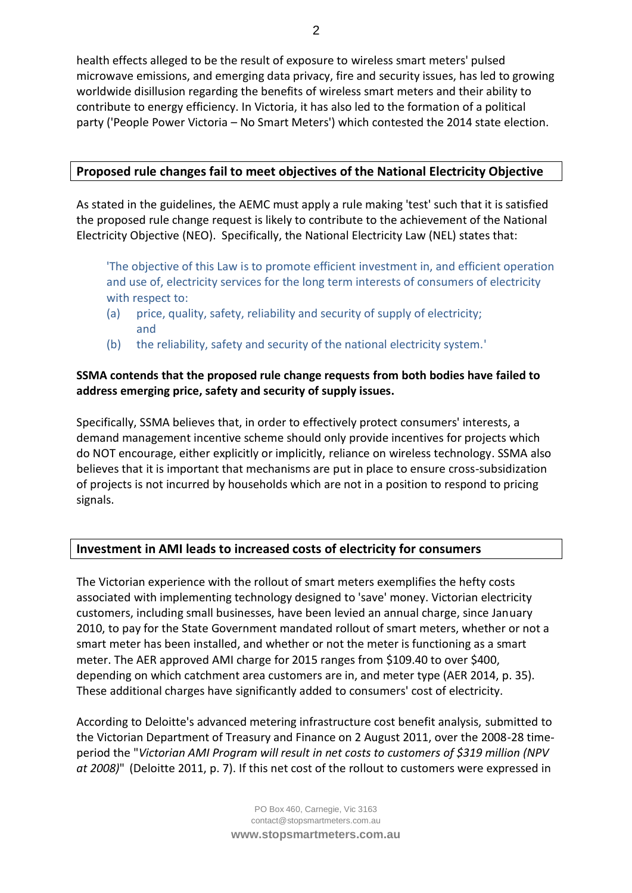health effects alleged to be the result of exposure to wireless smart meters' pulsed microwave emissions, and emerging data privacy, fire and security issues, has led to growing worldwide disillusion regarding the benefits of wireless smart meters and their ability to contribute to energy efficiency. In Victoria, it has also led to the formation of a political party ('People Power Victoria – No Smart Meters') which contested the 2014 state election.

# **Proposed rule changes fail to meet objectives of the National Electricity Objective**

As stated in the guidelines, the AEMC must apply a rule making 'test' such that it is satisfied the proposed rule change request is likely to contribute to the achievement of the National Electricity Objective (NEO). Specifically, the National Electricity Law (NEL) states that:

'The objective of this Law is to promote efficient investment in, and efficient operation and use of, electricity services for the long term interests of consumers of electricity with respect to:

- (a) price, quality, safety, reliability and security of supply of electricity; and
- (b) the reliability, safety and security of the national electricity system.'

## **SSMA contends that the proposed rule change requests from both bodies have failed to address emerging price, safety and security of supply issues.**

Specifically, SSMA believes that, in order to effectively protect consumers' interests, a demand management incentive scheme should only provide incentives for projects which do NOT encourage, either explicitly or implicitly, reliance on wireless technology. SSMA also believes that it is important that mechanisms are put in place to ensure cross-subsidization of projects is not incurred by households which are not in a position to respond to pricing signals.

# **Investment in AMI leads to increased costs of electricity for consumers**

The Victorian experience with the rollout of smart meters exemplifies the hefty costs associated with implementing technology designed to 'save' money. Victorian electricity customers, including small businesses, have been levied an annual charge, since January 2010, to pay for the State Government mandated rollout of smart meters, whether or not a smart meter has been installed, and whether or not the meter is functioning as a smart meter. The AER approved AMI charge for 2015 ranges from \$109.40 to over \$400, depending on which catchment area customers are in, and meter type (AER 2014, p. 35). These additional charges have significantly added to consumers' cost of electricity.

According to Deloitte's advanced metering infrastructure cost benefit analysis, submitted to the Victorian Department of Treasury and Finance on 2 August 2011, over the 2008-28 timeperiod the "*Victorian AMI Program will result in net costs to customers of \$319 million (NPV at 2008)*" (Deloitte 2011, p. 7). If this net cost of the rollout to customers were expressed in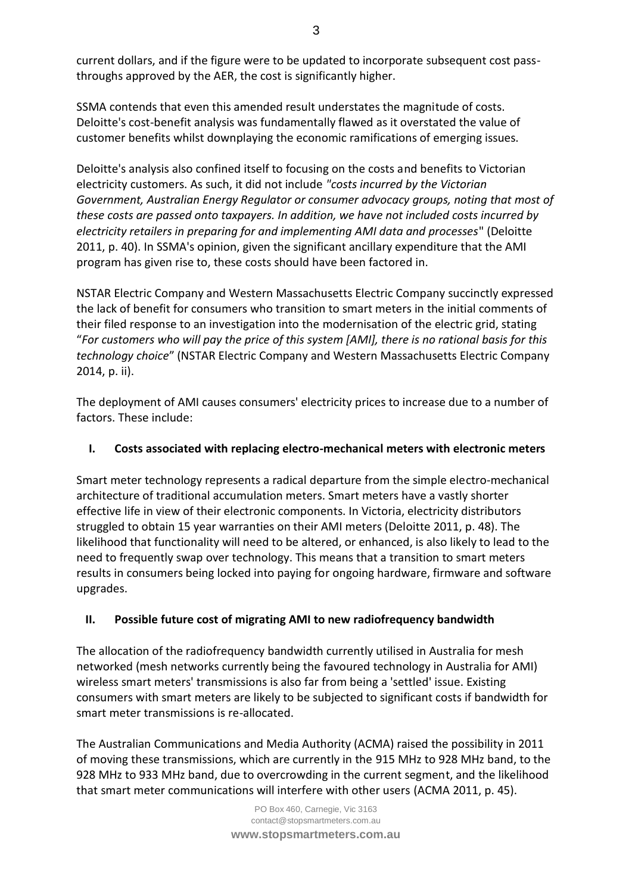current dollars, and if the figure were to be updated to incorporate subsequent cost passthroughs approved by the AER, the cost is significantly higher.

SSMA contends that even this amended result understates the magnitude of costs. Deloitte's cost-benefit analysis was fundamentally flawed as it overstated the value of customer benefits whilst downplaying the economic ramifications of emerging issues.

Deloitte's analysis also confined itself to focusing on the costs and benefits to Victorian electricity customers. As such, it did not include *"costs incurred by the Victorian Government, Australian Energy Regulator or consumer advocacy groups, noting that most of these costs are passed onto taxpayers. In addition, we have not included costs incurred by electricity retailers in preparing for and implementing AMI data and processes*" (Deloitte 2011, p. 40). In SSMA's opinion, given the significant ancillary expenditure that the AMI program has given rise to, these costs should have been factored in.

NSTAR Electric Company and Western Massachusetts Electric Company succinctly expressed the lack of benefit for consumers who transition to smart meters in the initial comments of their filed response to an investigation into the modernisation of the electric grid, stating "*For customers who will pay the price of this system [AMI], there is no rational basis for this technology choice*" (NSTAR Electric Company and Western Massachusetts Electric Company 2014, p. ii).

The deployment of AMI causes consumers' electricity prices to increase due to a number of factors. These include:

# **I. Costs associated with replacing electro-mechanical meters with electronic meters**

Smart meter technology represents a radical departure from the simple electro-mechanical architecture of traditional accumulation meters. Smart meters have a vastly shorter effective life in view of their electronic components. In Victoria, electricity distributors struggled to obtain 15 year warranties on their AMI meters (Deloitte 2011, p. 48). The likelihood that functionality will need to be altered, or enhanced, is also likely to lead to the need to frequently swap over technology. This means that a transition to smart meters results in consumers being locked into paying for ongoing hardware, firmware and software upgrades.

# **II. Possible future cost of migrating AMI to new radiofrequency bandwidth**

The allocation of the radiofrequency bandwidth currently utilised in Australia for mesh networked (mesh networks currently being the favoured technology in Australia for AMI) wireless smart meters' transmissions is also far from being a 'settled' issue. Existing consumers with smart meters are likely to be subjected to significant costs if bandwidth for smart meter transmissions is re-allocated.

The Australian Communications and Media Authority (ACMA) raised the possibility in 2011 of moving these transmissions, which are currently in the 915 MHz to 928 MHz band, to the 928 MHz to 933 MHz band, due to overcrowding in the current segment, and the likelihood that smart meter communications will interfere with other users (ACMA 2011, p. 45).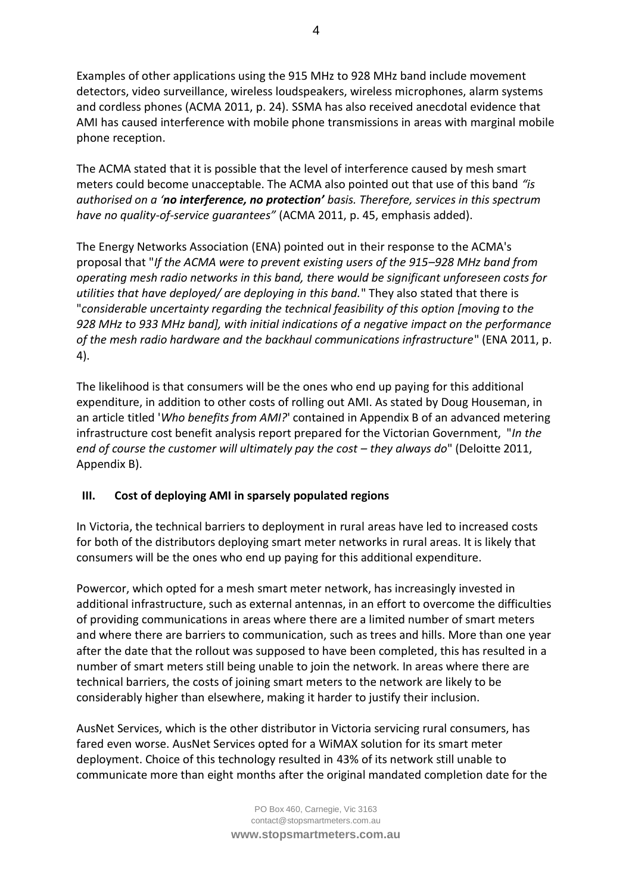Examples of other applications using the 915 MHz to 928 MHz band include movement detectors, video surveillance, wireless loudspeakers, wireless microphones, alarm systems and cordless phones (ACMA 2011, p. 24). SSMA has also received anecdotal evidence that AMI has caused interference with mobile phone transmissions in areas with marginal mobile phone reception.

The ACMA stated that it is possible that the level of interference caused by mesh smart meters could become unacceptable. The ACMA also pointed out that use of this band *"is authorised on a 'no interference, no protection' basis. Therefore, services in this spectrum have no quality-of-service guarantees"* (ACMA 2011, p. 45, emphasis added).

The Energy Networks Association (ENA) pointed out in their response to the ACMA's proposal that "*If the ACMA were to prevent existing users of the 915–928 MHz band from operating mesh radio networks in this band, there would be significant unforeseen costs for utilities that have deployed/ are deploying in this band.*" They also stated that there is "*considerable uncertainty regarding the technical feasibility of this option [moving to the 928 MHz to 933 MHz band], with initial indications of a negative impact on the performance of the mesh radio hardware and the backhaul communications infrastructure*" (ENA 2011, p. 4).

The likelihood is that consumers will be the ones who end up paying for this additional expenditure, in addition to other costs of rolling out AMI. As stated by Doug Houseman, in an article titled '*Who benefits from AMI?*' contained in Appendix B of an advanced metering infrastructure cost benefit analysis report prepared for the Victorian Government, "*In the end of course the customer will ultimately pay the cost – they always do*" (Deloitte 2011, Appendix B).

### **III. Cost of deploying AMI in sparsely populated regions**

In Victoria, the technical barriers to deployment in rural areas have led to increased costs for both of the distributors deploying smart meter networks in rural areas. It is likely that consumers will be the ones who end up paying for this additional expenditure.

Powercor, which opted for a mesh smart meter network, has increasingly invested in additional infrastructure, such as external antennas, in an effort to overcome the difficulties of providing communications in areas where there are a limited number of smart meters and where there are barriers to communication, such as trees and hills. More than one year after the date that the rollout was supposed to have been completed, this has resulted in a number of smart meters still being unable to join the network. In areas where there are technical barriers, the costs of joining smart meters to the network are likely to be considerably higher than elsewhere, making it harder to justify their inclusion.

AusNet Services, which is the other distributor in Victoria servicing rural consumers, has fared even worse. AusNet Services opted for a WiMAX solution for its smart meter deployment. Choice of this technology resulted in 43% of its network still unable to communicate more than eight months after the original mandated completion date for the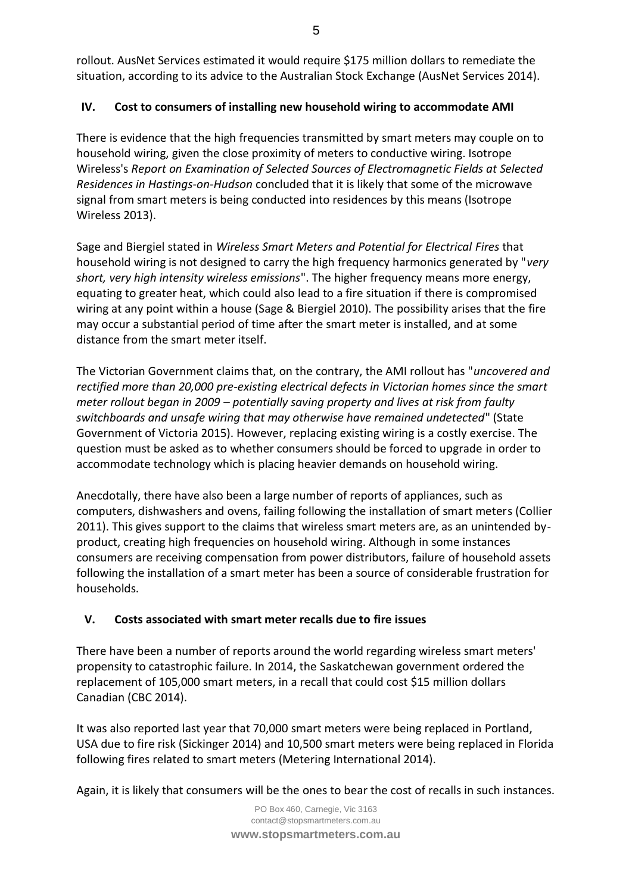rollout. AusNet Services estimated it would require \$175 million dollars to remediate the situation, according to its advice to the Australian Stock Exchange (AusNet Services 2014).

# **IV. Cost to consumers of installing new household wiring to accommodate AMI**

There is evidence that the high frequencies transmitted by smart meters may couple on to household wiring, given the close proximity of meters to conductive wiring. Isotrope Wireless's *Report on Examination of Selected Sources of Electromagnetic Fields at Selected Residences in Hastings-on-Hudson* concluded that it is likely that some of the microwave signal from smart meters is being conducted into residences by this means (Isotrope Wireless 2013).

Sage and Biergiel stated in *Wireless Smart Meters and Potential for Electrical Fires* that household wiring is not designed to carry the high frequency harmonics generated by "*very short, very high intensity wireless emissions*". The higher frequency means more energy, equating to greater heat, which could also lead to a fire situation if there is compromised wiring at any point within a house (Sage & Biergiel 2010). The possibility arises that the fire may occur a substantial period of time after the smart meter is installed, and at some distance from the smart meter itself.

The Victorian Government claims that, on the contrary, the AMI rollout has "*uncovered and rectified more than 20,000 pre-existing electrical defects in Victorian homes since the smart meter rollout began in 2009 – potentially saving property and lives at risk from faulty switchboards and unsafe wiring that may otherwise have remained undetected*" (State Government of Victoria 2015). However, replacing existing wiring is a costly exercise. The question must be asked as to whether consumers should be forced to upgrade in order to accommodate technology which is placing heavier demands on household wiring.

Anecdotally, there have also been a large number of reports of appliances, such as computers, dishwashers and ovens, failing following the installation of smart meters (Collier 2011). This gives support to the claims that wireless smart meters are, as an unintended byproduct, creating high frequencies on household wiring. Although in some instances consumers are receiving compensation from power distributors, failure of household assets following the installation of a smart meter has been a source of considerable frustration for households.

# **V. Costs associated with smart meter recalls due to fire issues**

There have been a number of reports around the world regarding wireless smart meters' propensity to catastrophic failure. In 2014, the Saskatchewan government ordered the replacement of 105,000 smart meters, in a recall that could cost \$15 million dollars Canadian (CBC 2014).

It was also reported last year that 70,000 smart meters were being replaced in Portland, USA due to fire risk (Sickinger 2014) and 10,500 smart meters were being replaced in Florida following fires related to smart meters (Metering International 2014).

Again, it is likely that consumers will be the ones to bear the cost of recalls in such instances.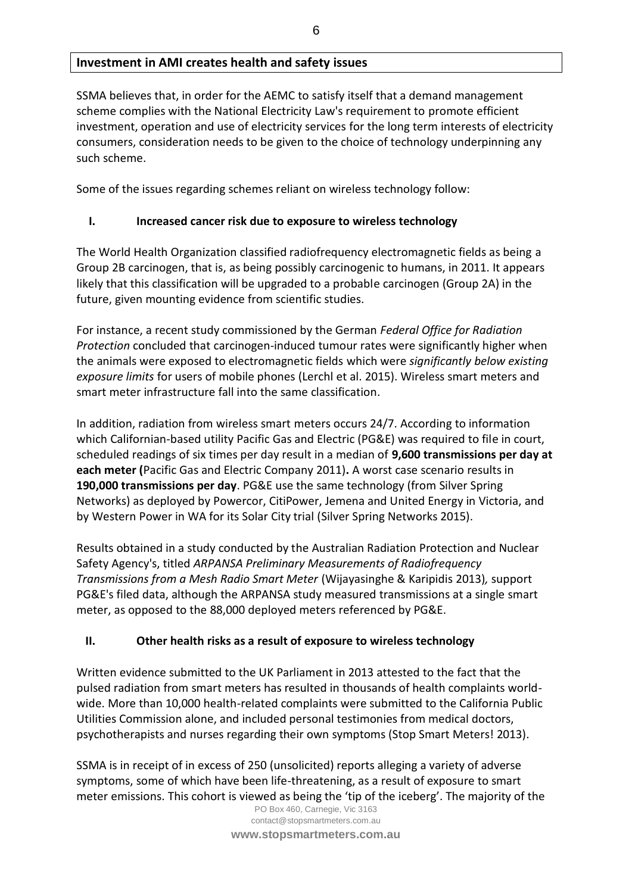## **Investment in AMI creates health and safety issues**

SSMA believes that, in order for the AEMC to satisfy itself that a demand management scheme complies with the National Electricity Law's requirement to promote efficient investment, operation and use of electricity services for the long term interests of electricity consumers, consideration needs to be given to the choice of technology underpinning any such scheme.

Some of the issues regarding schemes reliant on wireless technology follow:

## **I. Increased cancer risk due to exposure to wireless technology**

The World Health Organization classified radiofrequency electromagnetic fields as being a Group 2B carcinogen, that is, as being possibly carcinogenic to humans, in 2011. It appears likely that this classification will be upgraded to a probable carcinogen (Group 2A) in the future, given mounting evidence from scientific studies.

For instance, a recent study commissioned by the German *Federal Office for Radiation Protection* concluded that carcinogen-induced tumour rates were significantly higher when the animals were exposed to electromagnetic fields which were *significantly below existing exposure limits* for users of mobile phones (Lerchl et al. 2015). Wireless smart meters and smart meter infrastructure fall into the same classification.

In addition, radiation from wireless smart meters occurs 24/7. According to information which Californian-based utility Pacific Gas and Electric (PG&E) was required to file in court, scheduled readings of six times per day result in a median of **9,600 transmissions per day at each meter (**Pacific Gas and Electric Company 2011)**.** A worst case scenario results in **190,000 transmissions per day**. PG&E use the same technology (from Silver Spring Networks) as deployed by Powercor, CitiPower, Jemena and United Energy in Victoria, and by Western Power in WA for its Solar City trial (Silver Spring Networks 2015).

Results obtained in a study conducted by the Australian Radiation Protection and Nuclear Safety Agency's, titled *ARPANSA Preliminary Measurements of Radiofrequency Transmissions from a Mesh Radio Smart Meter* (Wijayasinghe & Karipidis 2013)*,* support PG&E's filed data, although the ARPANSA study measured transmissions at a single smart meter, as opposed to the 88,000 deployed meters referenced by PG&E.

# **II. Other health risks as a result of exposure to wireless technology**

Written evidence submitted to the UK Parliament in 2013 attested to the fact that the pulsed radiation from smart meters has resulted in thousands of health complaints worldwide. More than 10,000 health-related complaints were submitted to the California Public Utilities Commission alone, and included personal testimonies from medical doctors, psychotherapists and nurses regarding their own symptoms (Stop Smart Meters! 2013).

SSMA is in receipt of in excess of 250 (unsolicited) reports alleging a variety of adverse symptoms, some of which have been life-threatening, as a result of exposure to smart meter emissions. This cohort is viewed as being the 'tip of the iceberg'. The majority of the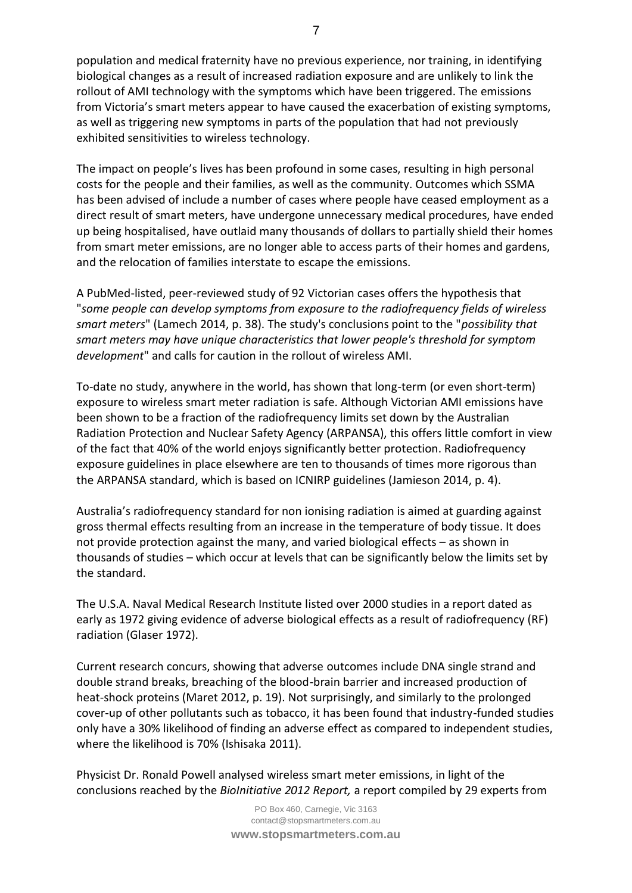population and medical fraternity have no previous experience, nor training, in identifying biological changes as a result of increased radiation exposure and are unlikely to link the rollout of AMI technology with the symptoms which have been triggered. The emissions from Victoria's smart meters appear to have caused the exacerbation of existing symptoms, as well as triggering new symptoms in parts of the population that had not previously exhibited sensitivities to wireless technology.

The impact on people's lives has been profound in some cases, resulting in high personal costs for the people and their families, as well as the community. Outcomes which SSMA has been advised of include a number of cases where people have ceased employment as a direct result of smart meters, have undergone unnecessary medical procedures, have ended up being hospitalised, have outlaid many thousands of dollars to partially shield their homes from smart meter emissions, are no longer able to access parts of their homes and gardens, and the relocation of families interstate to escape the emissions.

A PubMed-listed, peer-reviewed study of 92 Victorian cases offers the hypothesis that "*some people can develop symptoms from exposure to the radiofrequency fields of wireless smart meters*" (Lamech 2014, p. 38). The study's conclusions point to the "*possibility that smart meters may have unique characteristics that lower people's threshold for symptom development*" and calls for caution in the rollout of wireless AMI.

To-date no study, anywhere in the world, has shown that long-term (or even short-term) exposure to wireless smart meter radiation is safe. Although Victorian AMI emissions have been shown to be a fraction of the radiofrequency limits set down by the Australian Radiation Protection and Nuclear Safety Agency (ARPANSA), this offers little comfort in view of the fact that 40% of the world enjoys significantly better protection. Radiofrequency exposure guidelines in place elsewhere are ten to thousands of times more rigorous than the ARPANSA standard, which is based on ICNIRP guidelines (Jamieson 2014, p. 4).

Australia's radiofrequency standard for non ionising radiation is aimed at guarding against gross thermal effects resulting from an increase in the temperature of body tissue. It does not provide protection against the many, and varied biological effects – as shown in thousands of studies – which occur at levels that can be significantly below the limits set by the standard.

The U.S.A. Naval Medical Research Institute listed over 2000 studies in a report dated as early as 1972 giving evidence of adverse biological effects as a result of radiofrequency (RF) radiation (Glaser 1972).

Current research concurs, showing that adverse outcomes include DNA single strand and double strand breaks, breaching of the blood-brain barrier and increased production of heat-shock proteins (Maret 2012, p. 19). Not surprisingly, and similarly to the prolonged cover-up of other pollutants such as tobacco, it has been found that industry-funded studies only have a 30% likelihood of finding an adverse effect as compared to independent studies, where the likelihood is 70% (Ishisaka 2011).

Physicist Dr. Ronald Powell analysed wireless smart meter emissions, in light of the conclusions reached by the *BioInitiative 2012 Report,* a report compiled by 29 experts from

PO Box 460, Carnegie, Vic 3163 contact@stopsmartmeters.com.au

**www.stopsmartmeters.com.au**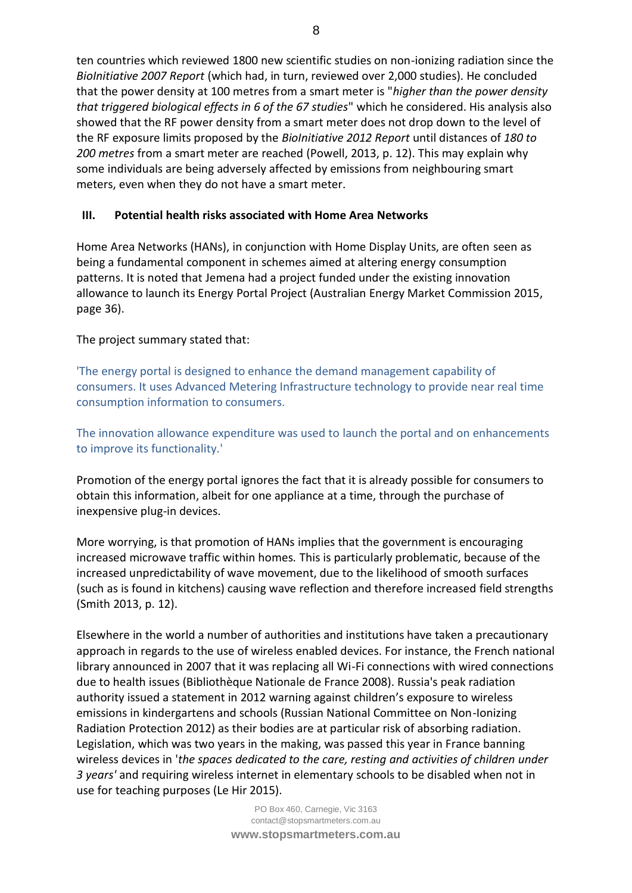ten countries which reviewed 1800 new scientific studies on non-ionizing radiation since the *BioInitiative 2007 Report* (which had, in turn, reviewed over 2,000 studies). He concluded that the power density at 100 metres from a smart meter is "*higher than the power density that triggered biological effects in 6 of the 67 studies*" which he considered. His analysis also showed that the RF power density from a smart meter does not drop down to the level of the RF exposure limits proposed by the *BioInitiative 2012 Report* until distances of *180 to 200 metres* from a smart meter are reached (Powell, 2013, p. 12). This may explain why some individuals are being adversely affected by emissions from neighbouring smart meters, even when they do not have a smart meter.

#### **III. Potential health risks associated with Home Area Networks**

Home Area Networks (HANs), in conjunction with Home Display Units, are often seen as being a fundamental component in schemes aimed at altering energy consumption patterns. It is noted that Jemena had a project funded under the existing innovation allowance to launch its Energy Portal Project (Australian Energy Market Commission 2015, page 36).

#### The project summary stated that:

'The energy portal is designed to enhance the demand management capability of consumers. It uses Advanced Metering Infrastructure technology to provide near real time consumption information to consumers.

The innovation allowance expenditure was used to launch the portal and on enhancements to improve its functionality.'

Promotion of the energy portal ignores the fact that it is already possible for consumers to obtain this information, albeit for one appliance at a time, through the purchase of inexpensive plug-in devices.

More worrying, is that promotion of HANs implies that the government is encouraging increased microwave traffic within homes. This is particularly problematic, because of the increased unpredictability of wave movement, due to the likelihood of smooth surfaces (such as is found in kitchens) causing wave reflection and therefore increased field strengths (Smith 2013, p. 12).

Elsewhere in the world a number of authorities and institutions have taken a precautionary approach in regards to the use of wireless enabled devices. For instance, the French national library announced in 2007 that it was replacing all Wi-Fi connections with wired connections due to health issues (Bibliothèque Nationale de France 2008). Russia's peak radiation authority issued a statement in 2012 warning against children's exposure to wireless emissions in kindergartens and schools (Russian National Committee on Non-Ionizing Radiation Protection 2012) as their bodies are at particular risk of absorbing radiation. Legislation, which was two years in the making, was passed this year in France banning wireless devices in '*the spaces dedicated to the care, resting and activities of children under 3 years'* and requiring wireless internet in elementary schools to be disabled when not in use for teaching purposes (Le Hir 2015).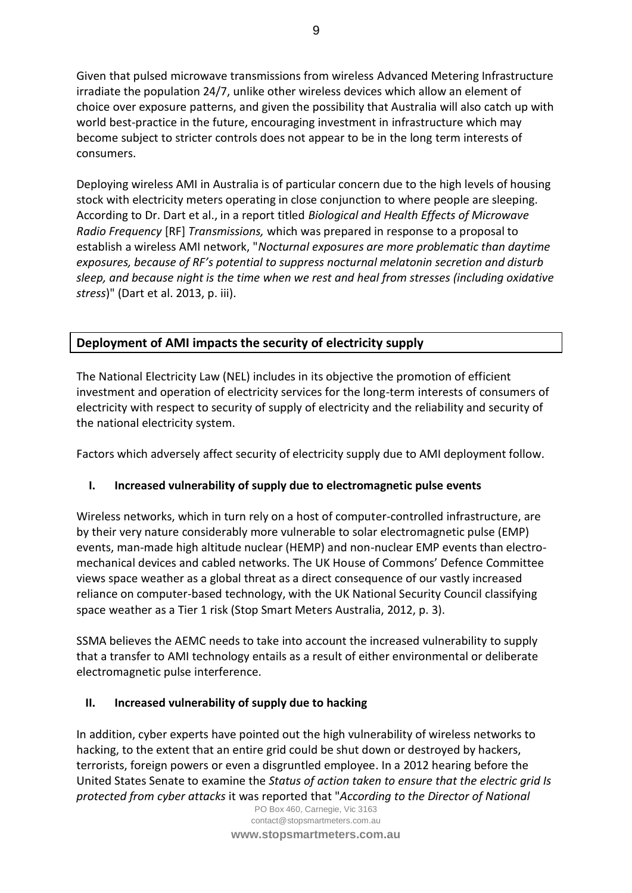Given that pulsed microwave transmissions from wireless Advanced Metering Infrastructure irradiate the population 24/7, unlike other wireless devices which allow an element of choice over exposure patterns, and given the possibility that Australia will also catch up with world best-practice in the future, encouraging investment in infrastructure which may become subject to stricter controls does not appear to be in the long term interests of consumers.

Deploying wireless AMI in Australia is of particular concern due to the high levels of housing stock with electricity meters operating in close conjunction to where people are sleeping. According to Dr. Dart et al., in a report titled *Biological and Health Effects of Microwave Radio Frequency* [RF] *Transmissions,* which was prepared in response to a proposal to establish a wireless AMI network, "*Nocturnal exposures are more problematic than daytime exposures, because of RF's potential to suppress nocturnal melatonin secretion and disturb sleep, and because night is the time when we rest and heal from stresses (including oxidative stress*)" (Dart et al. 2013, p. iii).

# **Deployment of AMI impacts the security of electricity supply**

The National Electricity Law (NEL) includes in its objective the promotion of efficient investment and operation of electricity services for the long-term interests of consumers of electricity with respect to security of supply of electricity and the reliability and security of the national electricity system.

Factors which adversely affect security of electricity supply due to AMI deployment follow.

### **I. Increased vulnerability of supply due to electromagnetic pulse events**

Wireless networks, which in turn rely on a host of computer-controlled infrastructure, are by their very nature considerably more vulnerable to solar electromagnetic pulse (EMP) events, man-made high altitude nuclear (HEMP) and non-nuclear EMP events than electromechanical devices and cabled networks. The UK House of Commons' Defence Committee views space weather as a global threat as a direct consequence of our vastly increased reliance on computer-based technology, with the UK National Security Council classifying space weather as a Tier 1 risk (Stop Smart Meters Australia, 2012, p. 3).

SSMA believes the AEMC needs to take into account the increased vulnerability to supply that a transfer to AMI technology entails as a result of either environmental or deliberate electromagnetic pulse interference.

### **II. Increased vulnerability of supply due to hacking**

In addition, cyber experts have pointed out the high vulnerability of wireless networks to hacking, to the extent that an entire grid could be shut down or destroyed by hackers, terrorists, foreign powers or even a disgruntled employee. In a 2012 hearing before the United States Senate to examine the *Status of action taken to ensure that the electric grid Is protected from cyber attacks* it was reported that "*According to the Director of National*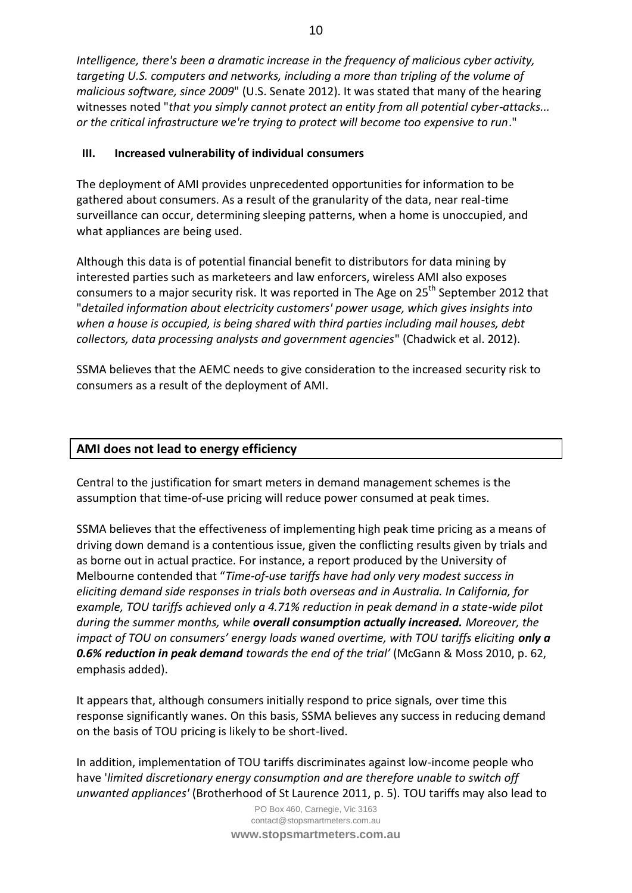*Intelligence, there's been a dramatic increase in the frequency of malicious cyber activity, targeting U.S. computers and networks, including a more than tripling of the volume of malicious software, since 2009*" (U.S. Senate 2012). It was stated that many of the hearing witnesses noted "*that you simply cannot protect an entity from all potential cyber-attacks... or the critical infrastructure we're trying to protect will become too expensive to run*."

## **III. Increased vulnerability of individual consumers**

The deployment of AMI provides unprecedented opportunities for information to be gathered about consumers. As a result of the granularity of the data, near real-time surveillance can occur, determining sleeping patterns, when a home is unoccupied, and what appliances are being used.

Although this data is of potential financial benefit to distributors for data mining by interested parties such as marketeers and law enforcers, wireless AMI also exposes consumers to a major security risk. It was reported in The Age on 25<sup>th</sup> September 2012 that "*detailed information about electricity customers' power usage, which gives insights into when a house is occupied, is being shared with third parties including mail houses, debt collectors, data processing analysts and government agencies*" (Chadwick et al. 2012).

SSMA believes that the AEMC needs to give consideration to the increased security risk to consumers as a result of the deployment of AMI.

# **AMI does not lead to energy efficiency**

Central to the justification for smart meters in demand management schemes is the assumption that time-of-use pricing will reduce power consumed at peak times.

SSMA believes that the effectiveness of implementing high peak time pricing as a means of driving down demand is a contentious issue, given the conflicting results given by trials and as borne out in actual practice. For instance, a report produced by the University of Melbourne contended that "*Time‐of‐use tariffs have had only very modest success in eliciting demand side responses in trials both overseas and in Australia. In California, for example, TOU tariffs achieved only a 4.71% reduction in peak demand in a state‐wide pilot during the summer months, while overall consumption actually increased. Moreover, the impact of TOU on consumers' energy loads waned overtime, with TOU tariffs eliciting only a 0.6% reduction in peak demand towards the end of the trial'* (McGann & Moss 2010, p. 62, emphasis added).

It appears that, although consumers initially respond to price signals, over time this response significantly wanes. On this basis, SSMA believes any success in reducing demand on the basis of TOU pricing is likely to be short-lived.

In addition, implementation of TOU tariffs discriminates against low-income people who have '*limited discretionary energy consumption and are therefore unable to switch off unwanted appliances'* (Brotherhood of St Laurence 2011, p. 5). TOU tariffs may also lead to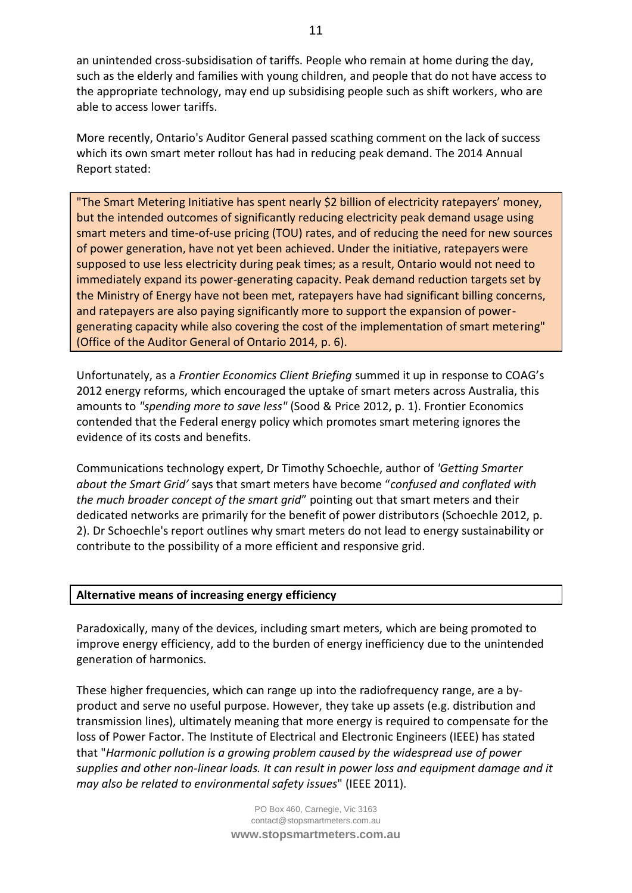an unintended cross-subsidisation of tariffs. People who remain at home during the day, such as the elderly and families with young children, and people that do not have access to the appropriate technology, may end up subsidising people such as shift workers, who are able to access lower tariffs.

More recently, Ontario's Auditor General passed scathing comment on the lack of success which its own smart meter rollout has had in reducing peak demand. The 2014 Annual Report stated:

"The Smart Metering Initiative has spent nearly \$2 billion of electricity ratepayers' money, but the intended outcomes of significantly reducing electricity peak demand usage using smart meters and time-of-use pricing (TOU) rates, and of reducing the need for new sources of power generation, have not yet been achieved. Under the initiative, ratepayers were supposed to use less electricity during peak times; as a result, Ontario would not need to immediately expand its power-generating capacity. Peak demand reduction targets set by the Ministry of Energy have not been met, ratepayers have had significant billing concerns, and ratepayers are also paying significantly more to support the expansion of powergenerating capacity while also covering the cost of the implementation of smart metering" (Office of the Auditor General of Ontario 2014, p. 6).

Unfortunately, as a *Frontier Economics Client Briefing* summed it up in response to COAG's 2012 energy reforms, which encouraged the uptake of smart meters across Australia, this amounts to *"spending more to save less"* (Sood & Price 2012, p. 1). Frontier Economics contended that the Federal energy policy which promotes smart metering ignores the evidence of its costs and benefits.

Communications technology expert, Dr Timothy Schoechle, author of *'Getting Smarter about the Smart Grid'* says that smart meters have become "*confused and conflated with the much broader concept of the smart grid*" pointing out that smart meters and their dedicated networks are primarily for the benefit of power distributors (Schoechle 2012, p. 2). Dr Schoechle's report outlines why smart meters do not lead to energy sustainability or contribute to the possibility of a more efficient and responsive grid.

#### **Alternative means of increasing energy efficiency**

Paradoxically, many of the devices, including smart meters, which are being promoted to improve energy efficiency, add to the burden of energy inefficiency due to the unintended generation of harmonics.

These higher frequencies, which can range up into the radiofrequency range, are a byproduct and serve no useful purpose. However, they take up assets (e.g. distribution and transmission lines), ultimately meaning that more energy is required to compensate for the loss of Power Factor. The Institute of Electrical and Electronic Engineers (IEEE) has stated that "*Harmonic pollution is a growing problem caused by the widespread use of power supplies and other non-linear loads. It can result in power loss and equipment damage and it may also be related to environmental safety issues*" (IEEE 2011).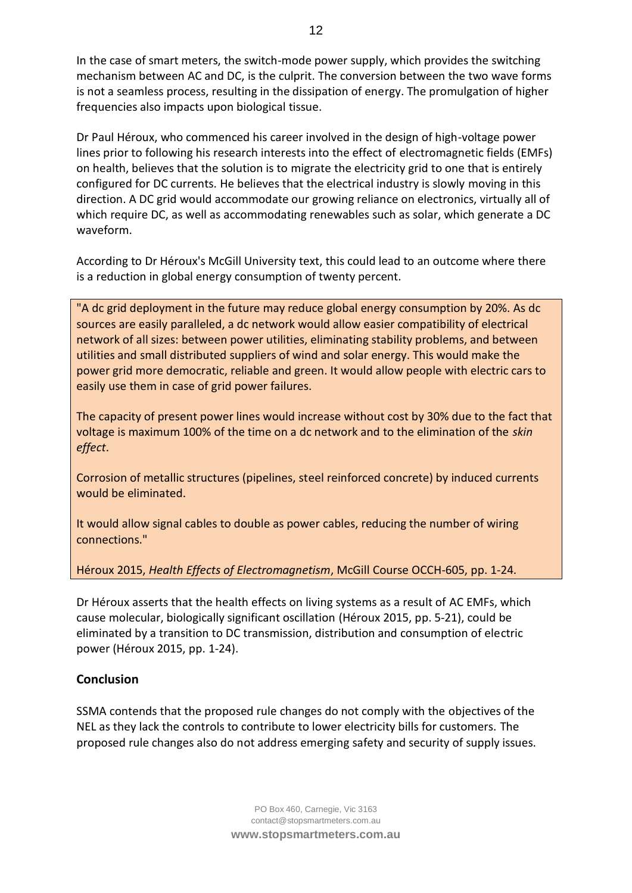In the case of smart meters, the switch-mode power supply, which provides the switching mechanism between AC and DC, is the culprit. The conversion between the two wave forms is not a seamless process, resulting in the dissipation of energy. The promulgation of higher frequencies also impacts upon biological tissue.

Dr Paul Héroux, who commenced his career involved in the design of high-voltage power lines prior to following his research interests into the effect of electromagnetic fields (EMFs) on health, believes that the solution is to migrate the electricity grid to one that is entirely configured for DC currents. He believes that the electrical industry is slowly moving in this direction. A DC grid would accommodate our growing reliance on electronics, virtually all of which require DC, as well as accommodating renewables such as solar, which generate a DC waveform.

According to Dr Héroux's McGill University text, this could lead to an outcome where there is a reduction in global energy consumption of twenty percent.

"A dc grid deployment in the future may reduce global energy consumption by 20%. As dc sources are easily paralleled, a dc network would allow easier compatibility of electrical network of all sizes: between power utilities, eliminating stability problems, and between utilities and small distributed suppliers of wind and solar energy. This would make the power grid more democratic, reliable and green. It would allow people with electric cars to easily use them in case of grid power failures.

The capacity of present power lines would increase without cost by 30% due to the fact that voltage is maximum 100% of the time on a dc network and to the elimination of the *skin effect*.

Corrosion of metallic structures (pipelines, steel reinforced concrete) by induced currents would be eliminated.

It would allow signal cables to double as power cables, reducing the number of wiring connections."

Héroux 2015, *Health Effects of Electromagnetism*, McGill Course OCCH-605, pp. 1-24.

Dr Héroux asserts that the health effects on living systems as a result of AC EMFs, which cause molecular, biologically significant oscillation (Héroux 2015, pp. 5-21), could be eliminated by a transition to DC transmission, distribution and consumption of electric power (Héroux 2015, pp. 1-24).

### **Conclusion**

SSMA contends that the proposed rule changes do not comply with the objectives of the NEL as they lack the controls to contribute to lower electricity bills for customers. The proposed rule changes also do not address emerging safety and security of supply issues.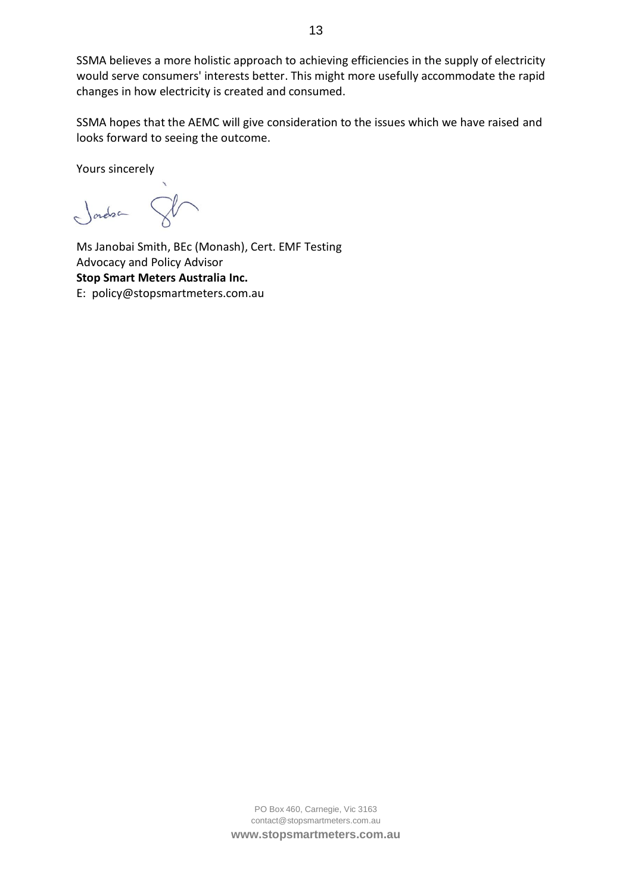SSMA believes a more holistic approach to achieving efficiencies in the supply of electricity would serve consumers' interests better. This might more usefully accommodate the rapid changes in how electricity is created and consumed.

SSMA hopes that the AEMC will give consideration to the issues which we have raised and looks forward to seeing the outcome.

Yours sincerely

 $Qf$ Jordsa

Ms Janobai Smith, BEc (Monash), Cert. EMF Testing Advocacy and Policy Advisor **Stop Smart Meters Australia Inc.**  E: [policy@stopsmartmeters.com.au](mailto:policy@stopsmartmeters.com.au)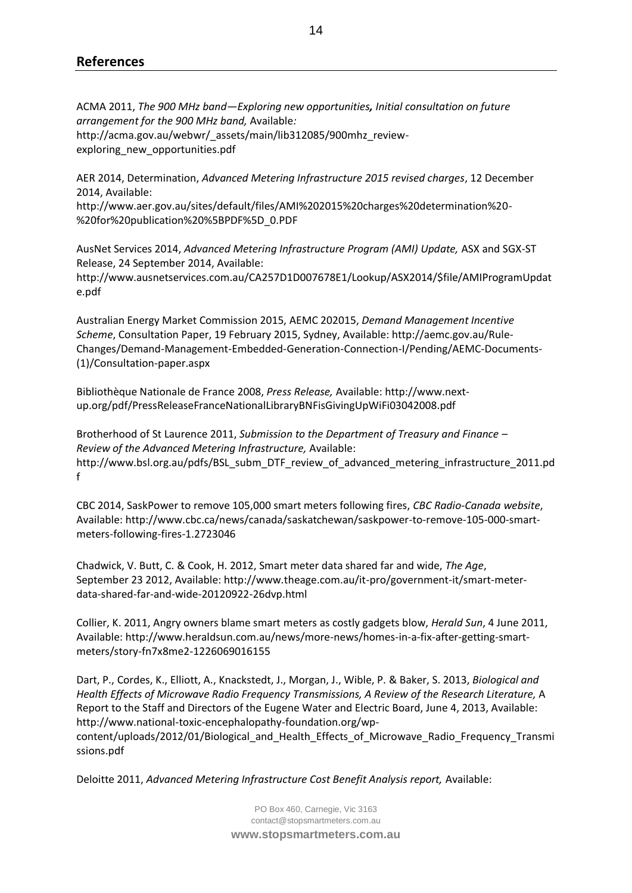## **References**

ACMA 2011, *The 900 MHz band—Exploring new opportunities, Initial consultation on future arrangement for the 900 MHz band,* Available*:*  [http://acma.gov.au/webwr/\\_assets/main/lib312085/900mhz\\_review](http://acma.gov.au/webwr/_assets/main/lib312085/900mhz_review-exploring_new_opportunities.pdf)[exploring\\_new\\_opportunities.pdf](http://acma.gov.au/webwr/_assets/main/lib312085/900mhz_review-exploring_new_opportunities.pdf)

AER 2014, Determination, *Advanced Metering Infrastructure 2015 revised charges*, 12 December 2014, Available: http://www.aer.gov.au/sites/default/files/AMI%202015%20charges%20determination%20- %20for%20publication%20%5BPDF%5D\_0.PDF

AusNet Services 2014, *Advanced Metering Infrastructure Program (AMI) Update,* ASX and SGX-ST Release, 24 September 2014, Available:

http://www.ausnetservices.com.au/CA257D1D007678E1/Lookup/ASX2014/\$file/AMIProgramUpdat e.pdf

Australian Energy Market Commission 2015, AEMC 202015, *Demand Management Incentive Scheme*, Consultation Paper, 19 February 2015, Sydney, Available: http://aemc.gov.au/Rule-Changes/Demand-Management-Embedded-Generation-Connection-I/Pending/AEMC-Documents- (1)/Consultation-paper.aspx

Bibliothèque Nationale de France 2008, *Press Release,* Available[: http://www.next](http://www.next-up.org/pdf/PressReleaseFranceNationalLibraryBNFisGivingUpWiFi03042008.pdf)[up.org/pdf/PressReleaseFranceNationalLibraryBNFisGivingUpWiFi03042008.pdf](http://www.next-up.org/pdf/PressReleaseFranceNationalLibraryBNFisGivingUpWiFi03042008.pdf)

Brotherhood of St Laurence 2011, *Submission to the Department of Treasury and Finance – Review of the Advanced Metering Infrastructure,* Available: http://www.bsl.org.au/pdfs/BSL\_subm\_DTF\_review\_of\_advanced\_metering\_infrastructure\_2011.pd f

CBC 2014, SaskPower to remove 105,000 smart meters following fires, *CBC Radio-Canada website*, Available: [http://www.cbc.ca/news/canada/saskatchewan/saskpower-to-remove-105-000-smart](http://www.cbc.ca/news/canada/saskatchewan/saskpower-to-remove-105-000-smart-meters-following-fires-1.2723046)[meters-following-fires-1.2723046](http://www.cbc.ca/news/canada/saskatchewan/saskpower-to-remove-105-000-smart-meters-following-fires-1.2723046)

Chadwick, V. Butt, C. & Cook, H. 2012, Smart meter data shared far and wide, *The Age*, September 23 2012, Available: http://www.theage.com.au/it-pro/government-it/smart-meterdata-shared-far-and-wide-20120922-26dvp.html

Collier, K. 2011, Angry owners blame smart meters as costly gadgets blow, *Herald Sun*, 4 June 2011, Available: [http://www.heraldsun.com.au/news/more-news/homes-in-a-fix-after-getting-smart](http://www.heraldsun.com.au/news/more-news/homes-in-a-fix-after-getting-smart-meters/story-fn7x8me2-1226069016155)[meters/story-fn7x8me2-1226069016155](http://www.heraldsun.com.au/news/more-news/homes-in-a-fix-after-getting-smart-meters/story-fn7x8me2-1226069016155)

Dart, P., Cordes, K., Elliott, A., Knackstedt, J., Morgan, J., Wible, P. & Baker, S. 2013, *Biological and Health Effects of Microwave Radio Frequency Transmissions, A Review of the Research Literature,* A Report to the Staff and Directors of the Eugene Water and Electric Board, June 4, 2013, Available: http://www.national-toxic-encephalopathy-foundation.org/wp-

content/uploads/2012/01/Biological\_and\_Health\_Effects\_of\_Microwave\_Radio\_Frequency\_Transmi ssions.pdf

Deloitte 2011, *Advanced Metering Infrastructure Cost Benefit Analysis report,* Available:

14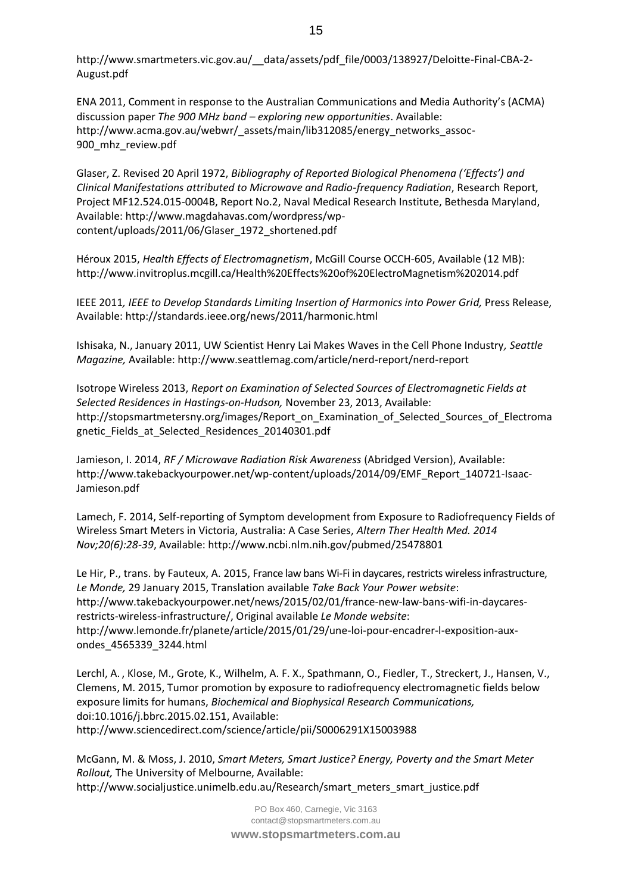[http://www.smartmeters.vic.gov.au/\\_\\_data/assets/pdf\\_file/0003/138927/Deloitte-Final-CBA-2-](http://www.smartmeters.vic.gov.au/__data/assets/pdf_file/0003/138927/Deloitte-Final-CBA-2-August.pdf) [August.pdf](http://www.smartmeters.vic.gov.au/__data/assets/pdf_file/0003/138927/Deloitte-Final-CBA-2-August.pdf)

ENA 2011, Comment in response to the Australian Communications and Media Authority's (ACMA) discussion paper *The 900 MHz band – exploring new opportunities*. Available: [http://www.acma.gov.au/webwr/\\_assets/main/lib312085/energy\\_networks\\_assoc-](http://www.acma.gov.au/webwr/_assets/main/lib312085/energy_networks_assoc-900_mhz_review.pdf)900 mhz review.pdf

Glaser, Z. Revised 20 April 1972, *Bibliography of Reported Biological Phenomena ('Effects') and Clinical Manifestations attributed to Microwave and Radio-frequency Radiation*, Research Report, Project MF12.524.015-0004B, Report No.2, Naval Medical Research Institute, Bethesda Maryland, Available: [http://www.magdahavas.com/wordpress/wp](http://www.magdahavas.com/wordpress/wp-content/uploads/2011/06/Glaser_1972_shortened.pdf)[content/uploads/2011/06/Glaser\\_1972\\_shortened.pdf](http://www.magdahavas.com/wordpress/wp-content/uploads/2011/06/Glaser_1972_shortened.pdf)

Héroux 2015, *Health Effects of Electromagnetism*, McGill Course OCCH-605, Available (12 MB): <http://www.invitroplus.mcgill.ca/Health%20Effects%20of%20ElectroMagnetism%202014.pdf>

IEEE 2011*, IEEE to Develop Standards Limiting Insertion of Harmonics into Power Grid,* Press Release, Available:<http://standards.ieee.org/news/2011/harmonic.html>

Ishisaka, N., January 2011, UW Scientist Henry Lai Makes Waves in the Cell Phone Industry*, Seattle Magazine,* Available:<http://www.seattlemag.com/article/nerd-report/nerd-report>

Isotrope Wireless 2013, *Report on Examination of Selected Sources of Electromagnetic Fields at Selected Residences in Hastings-on-Hudson,* November 23, 2013, Available: [http://stopsmartmetersny.org/images/Report\\_on\\_Examination\\_of\\_Selected\\_Sources\\_of\\_Electroma](http://stopsmartmetersny.org/images/Report_on_Examination_of_Selected_Sources_of_Electromagnetic_Fields_at_Selected_Residences_20140301.pdf) [gnetic\\_Fields\\_at\\_Selected\\_Residences\\_20140301.pdf](http://stopsmartmetersny.org/images/Report_on_Examination_of_Selected_Sources_of_Electromagnetic_Fields_at_Selected_Residences_20140301.pdf)

Jamieson, I. 2014, *RF / Microwave Radiation Risk Awareness* (Abridged Version), Available: http://www.takebackyourpower.net/wp-content/uploads/2014/09/EMF\_Report\_140721-Isaac-Jamieson.pdf

Lamech, F. 2014, Self-reporting of Symptom development from Exposure to Radiofrequency Fields of Wireless Smart Meters in Victoria, Australia: A Case Series, *[Altern Ther Health Med.](http://www.ncbi.nlm.nih.gov/pubmed/25478801) 2014 Nov;20(6):28-39*, Available:<http://www.ncbi.nlm.nih.gov/pubmed/25478801>

Le Hir, P., trans. by Fauteux, A. 2015, France law bans Wi-Fi in daycares, restricts wireless infrastructure, *Le Monde,* 29 January 2015, Translation available *Take Back Your Power website*: [http://www.takebackyourpower.net/news/2015/02/01/france-new-law-bans-wifi-in-daycares](http://www.takebackyourpower.net/news/2015/02/01/france-new-law-bans-wifi-in-daycares-restricts-wireless-infrastructure/)[restricts-wireless-infrastructure/,](http://www.takebackyourpower.net/news/2015/02/01/france-new-law-bans-wifi-in-daycares-restricts-wireless-infrastructure/) Original available *Le Monde website*: http://www.lemonde.fr/planete/article/2015/01/29/une-loi-pour-encadrer-l-exposition-auxondes\_4565339\_3244.html

[Lerchl,](http://www.sciencedirect.com/science/article/pii/S0006291X15003988) A. , Klose, M., Grote, K., Wilhelm, A. F. X., Spathmann, O., Fiedler, T., Streckert, J., Hansen, V., Clemens, M. 2015, Tumor promotion by exposure to radiofrequency electromagnetic fields below exposure limits for humans, *Biochemical and Biophysical Research [Communications,](http://www.sciencedirect.com/science/journal/0006291X)*  [doi:10.1016/j.bbrc.2015.02.151,](http://dx.doi.org/10.1016/j.bbrc.2015.02.151) Available: <http://www.sciencedirect.com/science/article/pii/S0006291X15003988>

McGann, M. & Moss, J. 2010, *Smart Meters, Smart Justice? Energy, Poverty and the Smart Meter Rollout,* The University of Melbourne, Available: [http://www.socialjustice.unimelb.edu.au/Research/smart\\_meters\\_smart\\_justice.pdf](http://www.socialjustice.unimelb.edu.au/Research/smart_meters_smart_justice.pdf)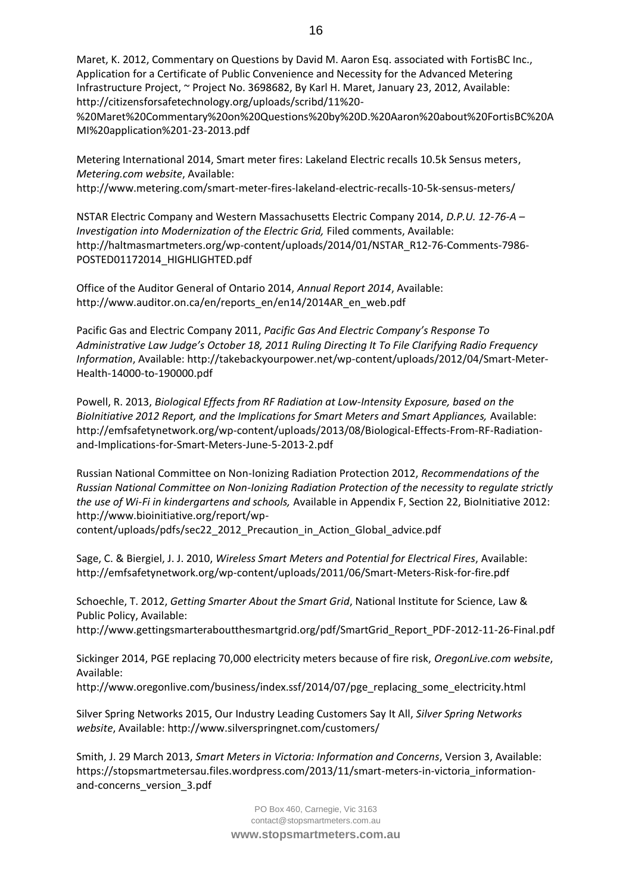Maret, K. 2012, Commentary on Questions by David M. Aaron Esq. associated with FortisBC Inc., Application for a Certificate of Public Convenience and Necessity for the Advanced Metering Infrastructure Project, ~ Project No. 3698682, By Karl H. Maret, January 23, 2012, Available: http://citizensforsafetechnology.org/uploads/scribd/11%20-

%20Maret%20Commentary%20on%20Questions%20by%20D.%20Aaron%20about%20FortisBC%20A MI%20application%201-23-2013.pdf

Metering International 2014, Smart meter fires: Lakeland Electric recalls 10.5k Sensus meters, *Metering.com website*, Available: http://www.metering.com/smart-meter-fires-lakeland-electric-recalls-10-5k-sensus-meters/

NSTAR Electric Company and Western Massachusetts Electric Company 2014, *D.P.U. 12-76-A – Investigation into Modernization of the Electric Grid,* Filed comments, Available: [http://haltmasmartmeters.org/wp-content/uploads/2014/01/NSTAR\\_R12-76-Comments-7986-](http://haltmasmartmeters.org/wp-content/uploads/2014/01/NSTAR_R12-76-Comments-7986-POSTED01172014_HIGHLIGHTED.pdf) [POSTED01172014\\_HIGHLIGHTED.pdf](http://haltmasmartmeters.org/wp-content/uploads/2014/01/NSTAR_R12-76-Comments-7986-POSTED01172014_HIGHLIGHTED.pdf)

Office of the Auditor General of Ontario 2014, *Annual Report 2014*, Available: http://www.auditor.on.ca/en/reports\_en/en14/2014AR\_en\_web.pdf

Pacific Gas and Electric Company 2011, *Pacific Gas And Electric Company's Response To Administrative Law Judge's October 18, 2011 Ruling Directing It To File Clarifying Radio Frequency Information*, Available: [http://takebackyourpower.net/wp-content/uploads/2012/04/Smart-Meter-](http://takebackyourpower.net/wp-content/uploads/2012/04/Smart-Meter-Health-14000-to-190000.pdf)[Health-14000-to-190000.pdf](http://takebackyourpower.net/wp-content/uploads/2012/04/Smart-Meter-Health-14000-to-190000.pdf)

Powell, R. 2013, *Biological Effects from RF Radiation at Low-Intensity Exposure, based on the BioInitiative 2012 Report, and the Implications for Smart Meters and Smart Appliances,* Available: http://emfsafetynetwork.org/wp-content/uploads/2013/08/Biological-Effects-From-RF-Radiationand-Implications-for-Smart-Meters-June-5-2013-2.pdf

Russian National Committee on Non-Ionizing Radiation Protection 2012, *Recommendations of the Russian National Committee on Non-Ionizing Radiation Protection of the necessity to regulate strictly the use of Wi-Fi in kindergartens and schools,* Available in Appendix F, Section 22, BioInitiative 2012: [http://www.bioinitiative.org/report/wp-](http://www.bioinitiative.org/report/wp-content/uploads/pdfs/sec22_2012_Precaution_in_Action_Global_advice.pdf)

[content/uploads/pdfs/sec22\\_2012\\_Precaution\\_in\\_Action\\_Global\\_advice.pdf](http://www.bioinitiative.org/report/wp-content/uploads/pdfs/sec22_2012_Precaution_in_Action_Global_advice.pdf)

Sage, C. & Biergiel, J. J. 2010, *Wireless Smart Meters and Potential for Electrical Fires*, Available: <http://emfsafetynetwork.org/wp-content/uploads/2011/06/Smart-Meters-Risk-for-fire.pdf>

Schoechle, T. 2012, *Getting Smarter About the Smart Grid*, National Institute for Science, Law & Public Policy, Available:

[http://www.gettingsmarteraboutthesmartgrid.org/pdf/SmartGrid\\_Report\\_PDF-2012-11-26-Final.pdf](http://www.gettingsmarteraboutthesmartgrid.org/pdf/SmartGrid_Report_PDF-2012-11-26-Final.pdf)

Sickinger 2014, PGE replacing 70,000 electricity meters because of fire risk, *OregonLive.com website*, Available:

http://www.oregonlive.com/business/index.ssf/2014/07/pge\_replacing\_some\_electricity.html

Silver Spring Networks 2015, Our Industry Leading Customers Say It All, *Silver Spring Networks website*, Available:<http://www.silverspringnet.com/customers/>

Smith, J. 29 March 2013, *Smart Meters in Victoria: Information and Concerns*, Version 3, Available: https://stopsmartmetersau.files.wordpress.com/2013/11/smart-meters-in-victoria\_informationand-concerns\_version\_3.pdf